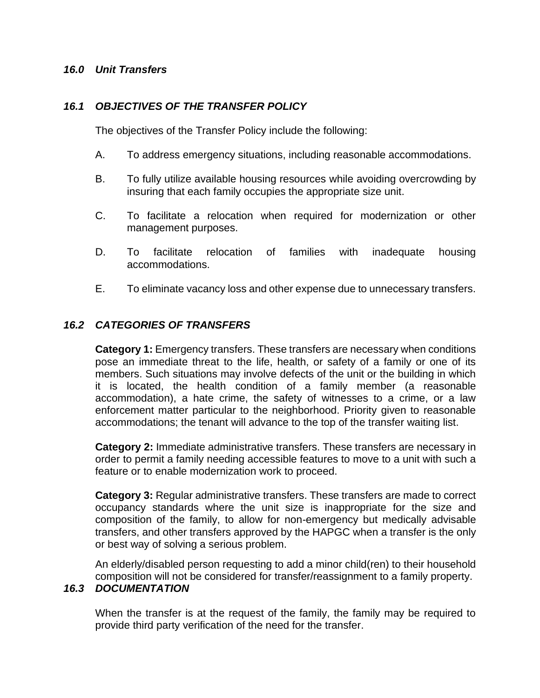#### *16.0 Unit Transfers*

#### *16.1 OBJECTIVES OF THE TRANSFER POLICY*

The objectives of the Transfer Policy include the following:

- A. To address emergency situations, including reasonable accommodations.
- B. To fully utilize available housing resources while avoiding overcrowding by insuring that each family occupies the appropriate size unit.
- C. To facilitate a relocation when required for modernization or other management purposes.
- D. To facilitate relocation of families with inadequate housing accommodations.
- E. To eliminate vacancy loss and other expense due to unnecessary transfers.

### *16.2 CATEGORIES OF TRANSFERS*

**Category 1:** Emergency transfers. These transfers are necessary when conditions pose an immediate threat to the life, health, or safety of a family or one of its members. Such situations may involve defects of the unit or the building in which it is located, the health condition of a family member (a reasonable accommodation), a hate crime, the safety of witnesses to a crime, or a law enforcement matter particular to the neighborhood. Priority given to reasonable accommodations; the tenant will advance to the top of the transfer waiting list.

**Category 2:** Immediate administrative transfers. These transfers are necessary in order to permit a family needing accessible features to move to a unit with such a feature or to enable modernization work to proceed.

**Category 3:** Regular administrative transfers. These transfers are made to correct occupancy standards where the unit size is inappropriate for the size and composition of the family, to allow for non-emergency but medically advisable transfers, and other transfers approved by the HAPGC when a transfer is the only or best way of solving a serious problem.

An elderly/disabled person requesting to add a minor child(ren) to their household composition will not be considered for transfer/reassignment to a family property.

# *16.3 DOCUMENTATION*

When the transfer is at the request of the family, the family may be required to provide third party verification of the need for the transfer.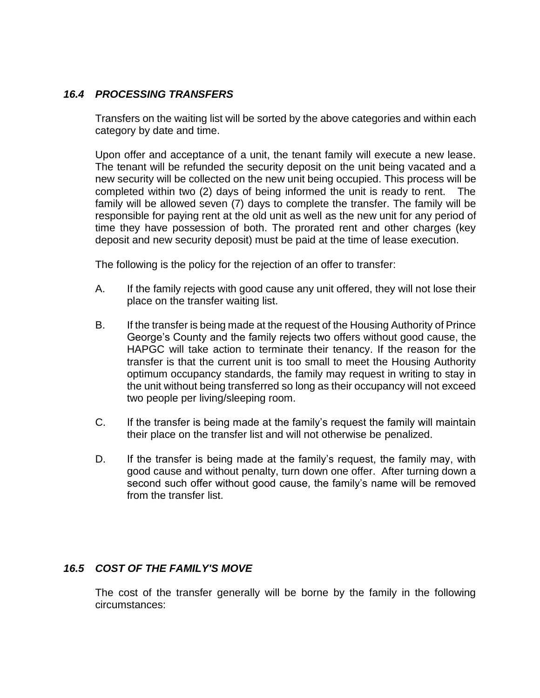### *16.4 PROCESSING TRANSFERS*

Transfers on the waiting list will be sorted by the above categories and within each category by date and time.

Upon offer and acceptance of a unit, the tenant family will execute a new lease. The tenant will be refunded the security deposit on the unit being vacated and a new security will be collected on the new unit being occupied. This process will be completed within two (2) days of being informed the unit is ready to rent. The family will be allowed seven (7) days to complete the transfer. The family will be responsible for paying rent at the old unit as well as the new unit for any period of time they have possession of both. The prorated rent and other charges (key deposit and new security deposit) must be paid at the time of lease execution.

The following is the policy for the rejection of an offer to transfer:

- A. If the family rejects with good cause any unit offered, they will not lose their place on the transfer waiting list.
- B. If the transfer is being made at the request of the Housing Authority of Prince George's County and the family rejects two offers without good cause, the HAPGC will take action to terminate their tenancy. If the reason for the transfer is that the current unit is too small to meet the Housing Authority optimum occupancy standards, the family may request in writing to stay in the unit without being transferred so long as their occupancy will not exceed two people per living/sleeping room.
- C. If the transfer is being made at the family's request the family will maintain their place on the transfer list and will not otherwise be penalized.
- D. If the transfer is being made at the family's request, the family may, with good cause and without penalty, turn down one offer. After turning down a second such offer without good cause, the family's name will be removed from the transfer list.

## *16.5 COST OF THE FAMILY'S MOVE*

The cost of the transfer generally will be borne by the family in the following circumstances: